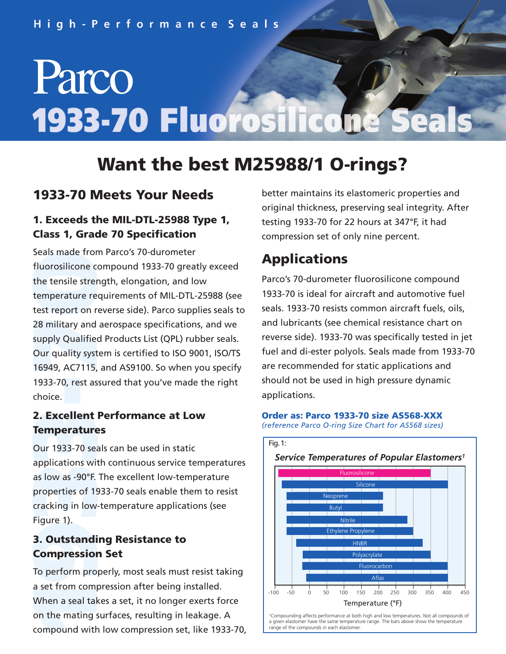# Parco 1933-70 Fluorosilicone e

# **Want the best M25988/1 O-rings?**

### **1933-70 Meets Your Needs**

### **1. Exceeds the MIL-DTL-25988 Type 1, Class 1, Grade 70 Specification**

**-**1933-70, rest assured that you've made the right 28 military and<br>supply Qualifie<br>Our quality syst<br>16949, AC7115. Seals made from<br>fluorosilicone combined<br>the tensile strem<br>temperature re<br>test report on r Seals made from Parco's 70-durometer fluorosilicone compound 1933-70 greatly exceed the tensile strength, elongation, and low temperature requirements of MIL-DTL-25988 (see test report on reverse side). Parco supplies seals to 28 military and aerospace specifications, and we supply Qualified Products List (QPL) rubber seals. Our quality system is certified to ISO 9001, ISO/TS 16949, AC7115, and AS9100. So when you specify choice.

## **2. Excellent<br>Temperature<br>Our 1933-70 sea<br>analizations wit 2. Excellent Performance at Low Temperatures**

as low as -90°F. The excellent low-temperature<br>properties of 1933-70 seals enable them to res<br>cracking in low-temperature applications (see applications with continuous service temperatures Our 1933-70 seals can be used in static properties of 1933-70 seals enable them to resist cracking in low-temperature applications (see Figure 1).

# **9**<br>**3. Outstandi<br>Compression**<br>To perform pro **3. Outstanding Resistance to Compression Set**

.<br>When a seal tal<br>on the mating<br>compound with a set from compression after being installed. To perform properly, most seals must resist taking When a seal takes a set, it no longer exerts force on the mating surfaces, resulting in leakage. A compound with low compression set, like 1933-70, better maintains its elastomeric properties and original thickness, preserving seal integrity. After testing 1933-70 for 22 hours at 347°F, it had compression set of only nine percent.

### **Applications**

Parco's 70-durometer fluorosilicone compound 1933-70 is ideal for aircraft and automotive fuel seals. 1933-70 resists common aircraft fuels, oils, and lubricants (see chemical resistance chart on reverse side). 1933-70 was specifically tested in jet fuel and di-ester polyols. Seals made from 1933-70 are recommended for static applications and should not be used in high pressure dynamic applications.

#### **Order as: Parco 1933-70 size AS568-XXX**

*(reference Parco O-ring Size Chart for AS568 sizes)*